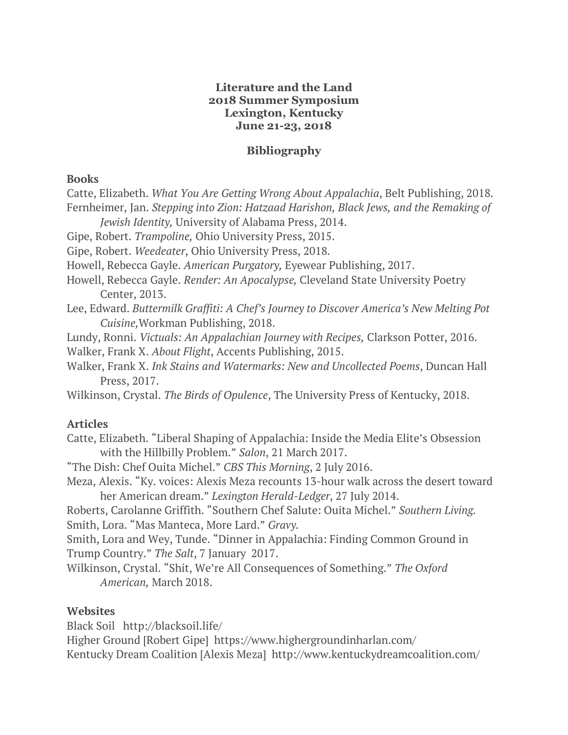#### **Literature and the Land 2018 Summer Symposium Lexington, Kentucky June 21-23, 2018**

## **Bibliography**

#### **Books**

Catte, Elizabeth. *What You Are Getting Wrong About Appalachia*, Belt Publishing, 2018. Fernheimer, Jan. *Stepping into Zion: Hatzaad Harishon, Black Jews, and the Remaking of* 

*Jewish Identity,* University of Alabama Press, 2014.

Gipe, Robert. *Trampoline,* Ohio University Press, 2015.

Gipe, Robert. *Weedeater*, Ohio University Press, 2018.

Howell, Rebecca Gayle. *American Purgatory,* Eyewear Publishing, 2017.

Howell, Rebecca Gayle. *Render: An Apocalypse,* Cleveland State University Poetry Center, 2013.

Lee, Edward. *Buttermilk Graffiti: A Chef's Journey to Discover America's New Melting Pot Cuisine,*Workman Publishing, 2018.

Lundy, Ronni. *Victuals: An Appalachian Journey with Recipes,* Clarkson Potter, 2016. Walker, Frank X. *About Flight*, Accents Publishing, 2015.

Walker, Frank X. *Ink Stains and Watermarks: New and Uncollected Poems*, Duncan Hall Press, 2017.

Wilkinson, Crystal. *The Birds of Opulence*, The University Press of Kentucky, 2018.

## **Articles**

Catte, Elizabeth. "Liberal Shaping of Appalachia: Inside the Media Elite's Obsession with the Hillbilly Problem." *Salon*, 21 March 2017.

"The Dish: Chef Ouita Michel." *CBS This Morning*, 2 July 2016.

Meza, Alexis. "Ky. voices: Alexis Meza recounts 13-hour walk across the desert toward her American dream." *Lexington Herald-Ledger*, 27 July 2014.

Roberts, Carolanne Griffith. "Southern Chef Salute: Ouita Michel." *Southern Living.* Smith, Lora. "Mas Manteca, More Lard." *Gravy.*

Smith, Lora and Wey, Tunde. "Dinner in Appalachia: Finding Common Ground in Trump Country." *The Salt*, 7 January 2017.

Wilkinson, Crystal. "Shit, We're All Consequences of Something." *The Oxford American,* March 2018.

## **Websites**

Black Soil http://blacksoil.life/

Higher Ground [Robert Gipe] https://www.highergroundinharlan.com/ Kentucky Dream Coalition [Alexis Meza] http://www.kentuckydreamcoalition.com/